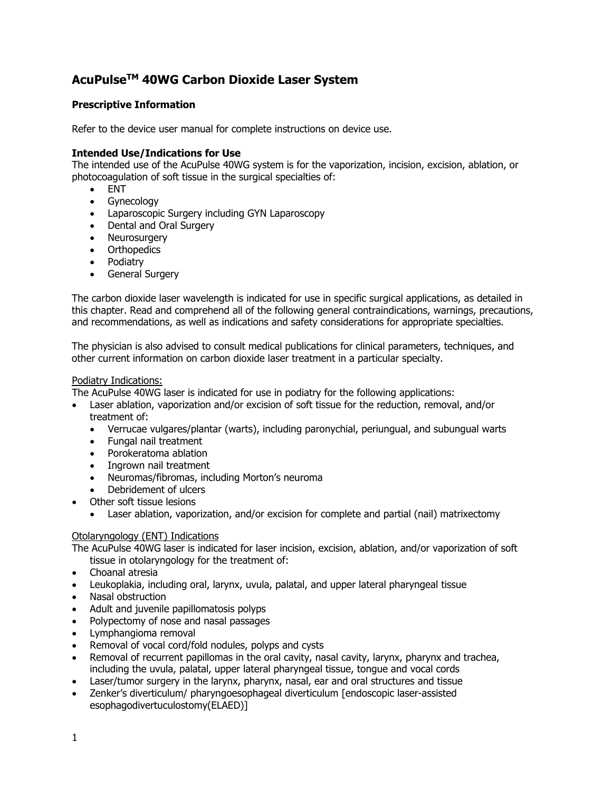# **AcuPulseTM 40WG Carbon Dioxide Laser System**

#### **Prescriptive Information**

Refer to the device user manual for complete instructions on device use.

#### **Intended Use/Indications for Use**

The intended use of the AcuPulse 40WG system is for the vaporization, incision, excision, ablation, or photocoagulation of soft tissue in the surgical specialties of:

- ENT
- Gynecology
- Laparoscopic Surgery including GYN Laparoscopy
- Dental and Oral Surgery
- Neurosurgery
- Orthopedics
- Podiatry
- General Surgery

The carbon dioxide laser wavelength is indicated for use in specific surgical applications, as detailed in this chapter. Read and comprehend all of the following general contraindications, warnings, precautions, and recommendations, as well as indications and safety considerations for appropriate specialties.

The physician is also advised to consult medical publications for clinical parameters, techniques, and other current information on carbon dioxide laser treatment in a particular specialty.

#### Podiatry Indications:

The AcuPulse 40WG laser is indicated for use in podiatry for the following applications:

- Laser ablation, vaporization and/or excision of soft tissue for the reduction, removal, and/or treatment of:
	- Verrucae vulgares/plantar (warts), including paronychial, periungual, and subungual warts
	- Fungal nail treatment
	- Porokeratoma ablation
	- Ingrown nail treatment
	- Neuromas/fibromas, including Morton's neuroma
	- Debridement of ulcers
- Other soft tissue lesions
	- Laser ablation, vaporization, and/or excision for complete and partial (nail) matrixectomy

#### Otolaryngology (ENT) Indications

The AcuPulse 40WG laser is indicated for laser incision, excision, ablation, and/or vaporization of soft

- tissue in otolaryngology for the treatment of:
- Choanal atresia
- Leukoplakia, including oral, larynx, uvula, palatal, and upper lateral pharyngeal tissue
- Nasal obstruction
- Adult and juvenile papillomatosis polyps
- Polypectomy of nose and nasal passages
- Lymphangioma removal
- Removal of vocal cord/fold nodules, polyps and cysts
- Removal of recurrent papillomas in the oral cavity, nasal cavity, larynx, pharynx and trachea, including the uvula, palatal, upper lateral pharyngeal tissue, tongue and vocal cords
- Laser/tumor surgery in the larynx, pharynx, nasal, ear and oral structures and tissue
- Zenker's diverticulum/ pharyngoesophageal diverticulum [endoscopic laser-assisted esophagodivertuculostomy(ELAED)]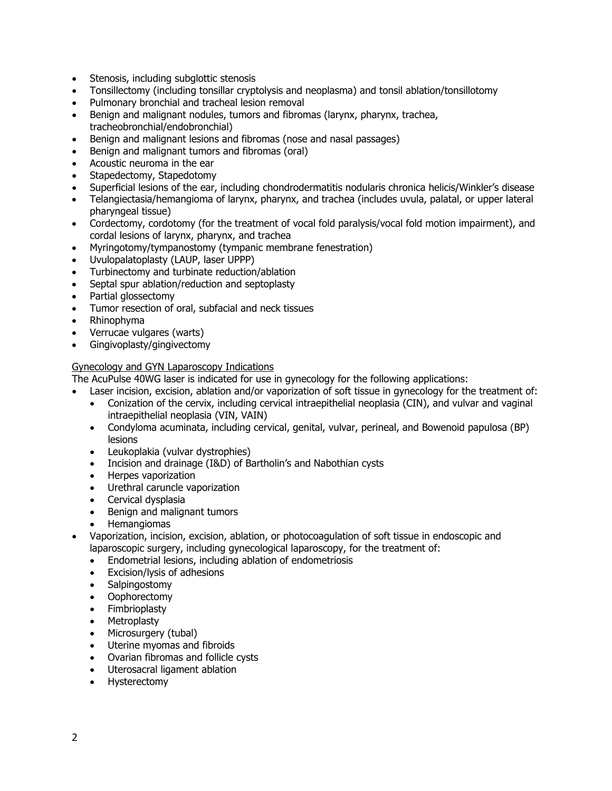- Stenosis, including subglottic stenosis
- Tonsillectomy (including tonsillar cryptolysis and neoplasma) and tonsil ablation/tonsillotomy
- Pulmonary bronchial and tracheal lesion removal
- Benign and malignant nodules, tumors and fibromas (larynx, pharynx, trachea, tracheobronchial/endobronchial)
- Benign and malignant lesions and fibromas (nose and nasal passages)
- Benign and malignant tumors and fibromas (oral)
- Acoustic neuroma in the ear
- Stapedectomy, Stapedotomy
- Superficial lesions of the ear, including chondrodermatitis nodularis chronica helicis/Winkler's disease
- Telangiectasia/hemangioma of larynx, pharynx, and trachea (includes uvula, palatal, or upper lateral pharyngeal tissue)
- Cordectomy, cordotomy (for the treatment of vocal fold paralysis/vocal fold motion impairment), and cordal lesions of larynx, pharynx, and trachea
- Myringotomy/tympanostomy (tympanic membrane fenestration)
- Uvulopalatoplasty (LAUP, laser UPPP)
- Turbinectomy and turbinate reduction/ablation
- Septal spur ablation/reduction and septoplasty
- Partial glossectomy
- Tumor resection of oral, subfacial and neck tissues
- Rhinophyma
- Verrucae vulgares (warts)
- Gingivoplasty/gingivectomy

#### Gynecology and GYN Laparoscopy Indications

The AcuPulse 40WG laser is indicated for use in gynecology for the following applications:

- Laser incision, excision, ablation and/or vaporization of soft tissue in gynecology for the treatment of:
	- Conization of the cervix, including cervical intraepithelial neoplasia (CIN), and vulvar and vaginal intraepithelial neoplasia (VIN, VAIN)
	- Condyloma acuminata, including cervical, genital, vulvar, perineal, and Bowenoid papulosa (BP) lesions
	- Leukoplakia (vulvar dystrophies)
	- Incision and drainage (I&D) of Bartholin's and Nabothian cysts
	- Herpes vaporization
	- Urethral caruncle vaporization
	- Cervical dysplasia
	- Benign and malignant tumors
	- Hemangiomas
- Vaporization, incision, excision, ablation, or photocoagulation of soft tissue in endoscopic and laparoscopic surgery, including gynecological laparoscopy, for the treatment of:
	- Endometrial lesions, including ablation of endometriosis
	- Excision/lysis of adhesions
	- Salpingostomy
	- Oophorectomy
	- Fimbrioplasty
	- Metroplasty
	- Microsurgery (tubal)
	- Uterine myomas and fibroids
	- Ovarian fibromas and follicle cysts
	- Uterosacral ligament ablation
	- Hysterectomy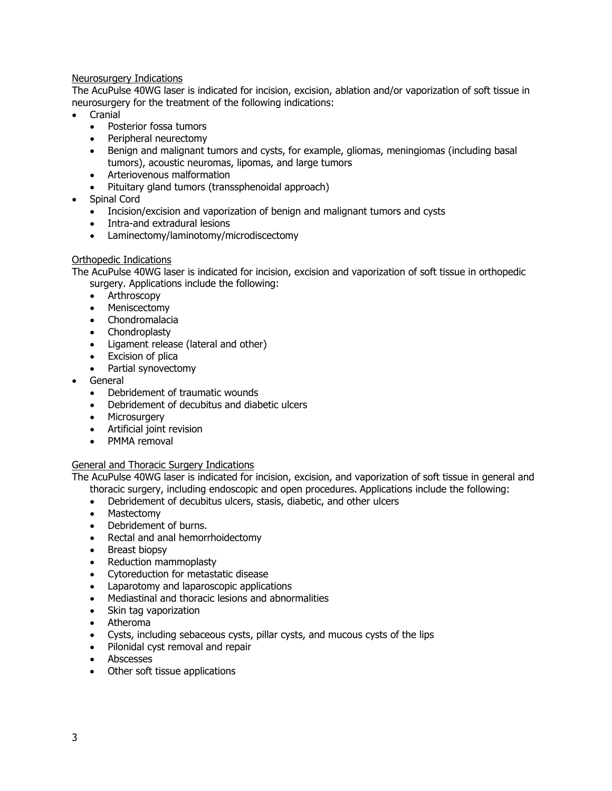#### Neurosurgery Indications

The AcuPulse 40WG laser is indicated for incision, excision, ablation and/or vaporization of soft tissue in neurosurgery for the treatment of the following indications:

- Cranial
	- Posterior fossa tumors
	- Peripheral neurectomy
	- Benign and malignant tumors and cysts, for example, gliomas, meningiomas (including basal tumors), acoustic neuromas, lipomas, and large tumors
	- Arteriovenous malformation
	- Pituitary gland tumors (transsphenoidal approach)
- Spinal Cord
	- Incision/excision and vaporization of benign and malignant tumors and cysts
	- Intra-and extradural lesions
	- Laminectomy/laminotomy/microdiscectomy

#### Orthopedic Indications

The AcuPulse 40WG laser is indicated for incision, excision and vaporization of soft tissue in orthopedic surgery. Applications include the following:

- Arthroscopy
- Meniscectomy
- Chondromalacia
- Chondroplasty
- Ligament release (lateral and other)
- Excision of plica
- Partial synovectomy
- General
	- Debridement of traumatic wounds
	- Debridement of decubitus and diabetic ulcers
	- Microsurgery
	- Artificial joint revision
	- PMMA removal

#### General and Thoracic Surgery Indications

The AcuPulse 40WG laser is indicated for incision, excision, and vaporization of soft tissue in general and

- thoracic surgery, including endoscopic and open procedures. Applications include the following:
- Debridement of decubitus ulcers, stasis, diabetic, and other ulcers
- Mastectomy
- Debridement of burns.
- Rectal and anal hemorrhoidectomy
- Breast biopsy
- Reduction mammoplasty
- Cytoreduction for metastatic disease
- Laparotomy and laparoscopic applications
- Mediastinal and thoracic lesions and abnormalities
- Skin tag vaporization
- Atheroma
- Cysts, including sebaceous cysts, pillar cysts, and mucous cysts of the lips
- Pilonidal cyst removal and repair
- Abscesses
- Other soft tissue applications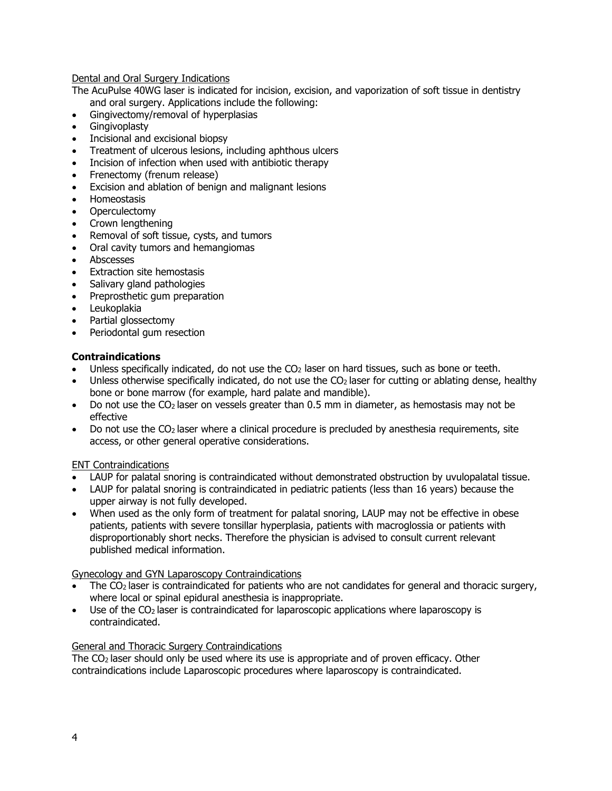#### Dental and Oral Surgery Indications

The AcuPulse 40WG laser is indicated for incision, excision, and vaporization of soft tissue in dentistry and oral surgery. Applications include the following:

- Gingivectomy/removal of hyperplasias
- **Gingivoplasty**
- Incisional and excisional biopsy
- Treatment of ulcerous lesions, including aphthous ulcers
- Incision of infection when used with antibiotic therapy
- Frenectomy (frenum release)
- Excision and ablation of benign and malignant lesions
- Homeostasis
- **Operculectomy**
- Crown lengthening
- Removal of soft tissue, cysts, and tumors
- Oral cavity tumors and hemangiomas
- Abscesses
- Extraction site hemostasis
- Salivary gland pathologies
- Preprosthetic gum preparation
- Leukoplakia
- Partial glossectomy
- Periodontal gum resection

#### **Contraindications**

- Unless specifically indicated, do not use the  $CO<sub>2</sub>$  laser on hard tissues, such as bone or teeth.
- Unless otherwise specifically indicated, do not use the CO<sub>2</sub> laser for cutting or ablating dense, healthy bone or bone marrow (for example, hard palate and mandible).
- Do not use the  $CO<sub>2</sub>$  laser on vessels greater than 0.5 mm in diameter, as hemostasis may not be effective
- Do not use the  $CO<sub>2</sub>$  laser where a clinical procedure is precluded by anesthesia requirements, site access, or other general operative considerations.

#### ENT Contraindications

- LAUP for palatal snoring is contraindicated without demonstrated obstruction by uvulopalatal tissue.
- LAUP for palatal snoring is contraindicated in pediatric patients (less than 16 years) because the upper airway is not fully developed.
- When used as the only form of treatment for palatal snoring, LAUP may not be effective in obese patients, patients with severe tonsillar hyperplasia, patients with macroglossia or patients with disproportionably short necks. Therefore the physician is advised to consult current relevant published medical information.

#### Gynecology and GYN Laparoscopy Contraindications

- The  $CO<sub>2</sub>$  laser is contraindicated for patients who are not candidates for general and thoracic surgery, where local or spinal epidural anesthesia is inappropriate.
- Use of the CO<sub>2</sub> laser is contraindicated for laparoscopic applications where laparoscopy is contraindicated.

## General and Thoracic Surgery Contraindications

The  $CO<sub>2</sub>$  laser should only be used where its use is appropriate and of proven efficacy. Other contraindications include Laparoscopic procedures where laparoscopy is contraindicated.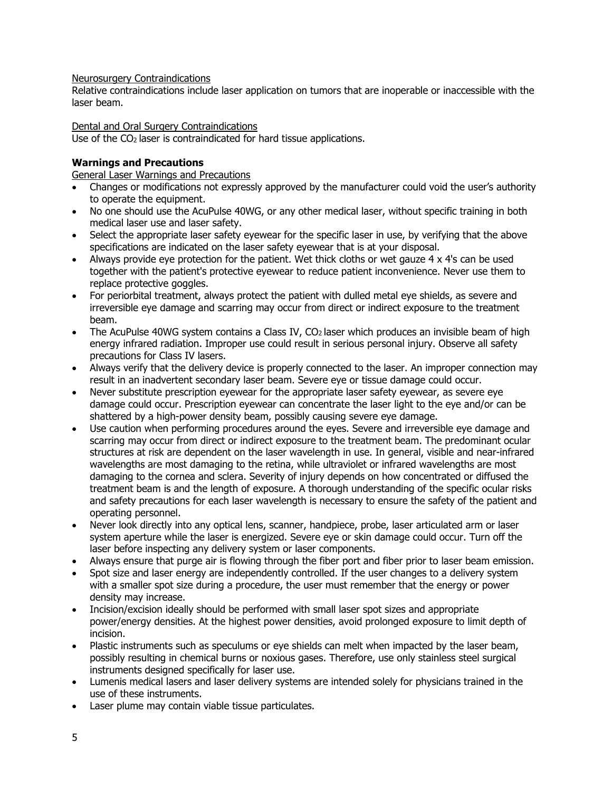#### Neurosurgery Contraindications

Relative contraindications include laser application on tumors that are inoperable or inaccessible with the laser beam.

Dental and Oral Surgery Contraindications

Use of the  $CO<sub>2</sub>$  laser is contraindicated for hard tissue applications.

# **Warnings and Precautions**

General Laser Warnings and Precautions

- Changes or modifications not expressly approved by the manufacturer could void the user's authority to operate the equipment.
- No one should use the AcuPulse 40WG, or any other medical laser, without specific training in both medical laser use and laser safety.
- Select the appropriate laser safety eyewear for the specific laser in use, by verifying that the above specifications are indicated on the laser safety eyewear that is at your disposal.
- Always provide eye protection for the patient. Wet thick cloths or wet gauze 4 x 4's can be used together with the patient's protective eyewear to reduce patient inconvenience. Never use them to replace protective goggles.
- For periorbital treatment, always protect the patient with dulled metal eve shields, as severe and irreversible eye damage and scarring may occur from direct or indirect exposure to the treatment beam.
- The AcuPulse 40WG system contains a Class IV, CO<sub>2</sub> laser which produces an invisible beam of high energy infrared radiation. Improper use could result in serious personal injury. Observe all safety precautions for Class IV lasers.
- Always verify that the delivery device is properly connected to the laser. An improper connection may result in an inadvertent secondary laser beam. Severe eye or tissue damage could occur.
- Never substitute prescription eyewear for the appropriate laser safety eyewear, as severe eye damage could occur. Prescription eyewear can concentrate the laser light to the eye and/or can be shattered by a high-power density beam, possibly causing severe eye damage.
- Use caution when performing procedures around the eyes. Severe and irreversible eye damage and scarring may occur from direct or indirect exposure to the treatment beam. The predominant ocular structures at risk are dependent on the laser wavelength in use. In general, visible and near-infrared wavelengths are most damaging to the retina, while ultraviolet or infrared wavelengths are most damaging to the cornea and sclera. Severity of injury depends on how concentrated or diffused the treatment beam is and the length of exposure. A thorough understanding of the specific ocular risks and safety precautions for each laser wavelength is necessary to ensure the safety of the patient and operating personnel.
- Never look directly into any optical lens, scanner, handpiece, probe, laser articulated arm or laser system aperture while the laser is energized. Severe eye or skin damage could occur. Turn off the laser before inspecting any delivery system or laser components.
- Always ensure that purge air is flowing through the fiber port and fiber prior to laser beam emission.
- Spot size and laser energy are independently controlled. If the user changes to a delivery system with a smaller spot size during a procedure, the user must remember that the energy or power density may increase.
- Incision/excision ideally should be performed with small laser spot sizes and appropriate power/energy densities. At the highest power densities, avoid prolonged exposure to limit depth of incision.
- Plastic instruments such as speculums or eye shields can melt when impacted by the laser beam, possibly resulting in chemical burns or noxious gases. Therefore, use only stainless steel surgical instruments designed specifically for laser use.
- Lumenis medical lasers and laser delivery systems are intended solely for physicians trained in the use of these instruments.
- Laser plume may contain viable tissue particulates.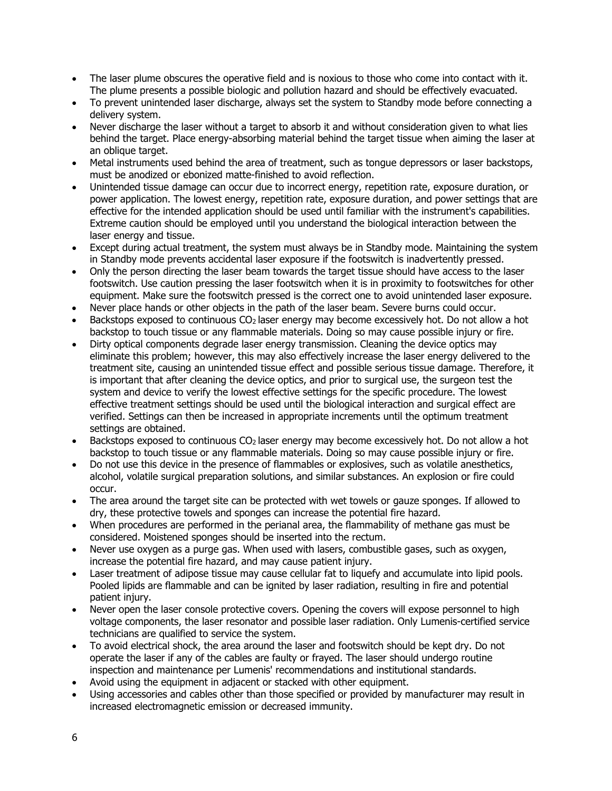- The laser plume obscures the operative field and is noxious to those who come into contact with it. The plume presents a possible biologic and pollution hazard and should be effectively evacuated.
- To prevent unintended laser discharge, always set the system to Standby mode before connecting a delivery system.
- Never discharge the laser without a target to absorb it and without consideration given to what lies behind the target. Place energy-absorbing material behind the target tissue when aiming the laser at an oblique target.
- Metal instruments used behind the area of treatment, such as tongue depressors or laser backstops, must be anodized or ebonized matte-finished to avoid reflection.
- Unintended tissue damage can occur due to incorrect energy, repetition rate, exposure duration, or power application. The lowest energy, repetition rate, exposure duration, and power settings that are effective for the intended application should be used until familiar with the instrument's capabilities. Extreme caution should be employed until you understand the biological interaction between the laser energy and tissue.
- Except during actual treatment, the system must always be in Standby mode. Maintaining the system in Standby mode prevents accidental laser exposure if the footswitch is inadvertently pressed.
- Only the person directing the laser beam towards the target tissue should have access to the laser footswitch. Use caution pressing the laser footswitch when it is in proximity to footswitches for other equipment. Make sure the footswitch pressed is the correct one to avoid unintended laser exposure.
- Never place hands or other objects in the path of the laser beam. Severe burns could occur.
- Backstops exposed to continuous CO2 laser energy may become excessively hot. Do not allow a hot backstop to touch tissue or any flammable materials. Doing so may cause possible injury or fire.
- Dirty optical components degrade laser energy transmission. Cleaning the device optics may eliminate this problem; however, this may also effectively increase the laser energy delivered to the treatment site, causing an unintended tissue effect and possible serious tissue damage. Therefore, it is important that after cleaning the device optics, and prior to surgical use, the surgeon test the system and device to verify the lowest effective settings for the specific procedure. The lowest effective treatment settings should be used until the biological interaction and surgical effect are verified. Settings can then be increased in appropriate increments until the optimum treatment settings are obtained.
- Backstops exposed to continuous CO2 laser energy may become excessively hot. Do not allow a hot backstop to touch tissue or any flammable materials. Doing so may cause possible injury or fire.
- Do not use this device in the presence of flammables or explosives, such as volatile anesthetics, alcohol, volatile surgical preparation solutions, and similar substances. An explosion or fire could occur.
- The area around the target site can be protected with wet towels or gauze sponges. If allowed to dry, these protective towels and sponges can increase the potential fire hazard.
- When procedures are performed in the perianal area, the flammability of methane gas must be considered. Moistened sponges should be inserted into the rectum.
- Never use oxygen as a purge gas. When used with lasers, combustible gases, such as oxygen, increase the potential fire hazard, and may cause patient injury.
- Laser treatment of adipose tissue may cause cellular fat to liquefy and accumulate into lipid pools. Pooled lipids are flammable and can be ignited by laser radiation, resulting in fire and potential patient injury.
- Never open the laser console protective covers. Opening the covers will expose personnel to high voltage components, the laser resonator and possible laser radiation. Only Lumenis-certified service technicians are qualified to service the system.
- To avoid electrical shock, the area around the laser and footswitch should be kept dry. Do not operate the laser if any of the cables are faulty or frayed. The laser should undergo routine inspection and maintenance per Lumenis' recommendations and institutional standards.
- Avoid using the equipment in adjacent or stacked with other equipment.
- Using accessories and cables other than those specified or provided by manufacturer may result in increased electromagnetic emission or decreased immunity.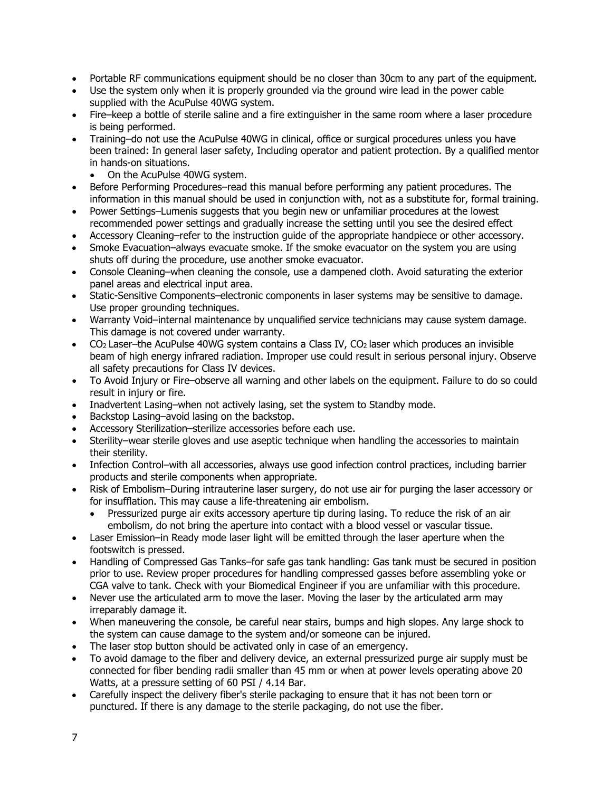- Portable RF communications equipment should be no closer than 30cm to any part of the equipment.
- Use the system only when it is properly grounded via the ground wire lead in the power cable supplied with the AcuPulse 40WG system.
- Fire–keep a bottle of sterile saline and a fire extinguisher in the same room where a laser procedure is being performed.
- Training–do not use the AcuPulse 40WG in clinical, office or surgical procedures unless you have been trained: In general laser safety, Including operator and patient protection. By a qualified mentor in hands-on situations.
	- On the AcuPulse 40WG system.
- Before Performing Procedures–read this manual before performing any patient procedures. The information in this manual should be used in conjunction with, not as a substitute for, formal training.
- Power Settings–Lumenis suggests that you begin new or unfamiliar procedures at the lowest recommended power settings and gradually increase the setting until you see the desired effect
- Accessory Cleaning–refer to the instruction guide of the appropriate handpiece or other accessory.
- Smoke Evacuation–always evacuate smoke. If the smoke evacuator on the system you are using shuts off during the procedure, use another smoke evacuator.
- Console Cleaning–when cleaning the console, use a dampened cloth. Avoid saturating the exterior panel areas and electrical input area.
- Static-Sensitive Components–electronic components in laser systems may be sensitive to damage. Use proper grounding techniques.
- Warranty Void–internal maintenance by unqualified service technicians may cause system damage. This damage is not covered under warranty.
- CO<sub>2</sub> Laser–the AcuPulse 40WG system contains a Class IV, CO<sub>2</sub> laser which produces an invisible beam of high energy infrared radiation. Improper use could result in serious personal injury. Observe all safety precautions for Class IV devices.
- To Avoid Injury or Fire–observe all warning and other labels on the equipment. Failure to do so could result in injury or fire.
- Inadvertent Lasing–when not actively lasing, set the system to Standby mode.
- Backstop Lasing–avoid lasing on the backstop.
- Accessory Sterilization–sterilize accessories before each use.
- Sterility–wear sterile gloves and use aseptic technique when handling the accessories to maintain their sterility.
- Infection Control–with all accessories, always use good infection control practices, including barrier products and sterile components when appropriate.
- Risk of Embolism–During intrauterine laser surgery, do not use air for purging the laser accessory or for insufflation. This may cause a life-threatening air embolism.
	- Pressurized purge air exits accessory aperture tip during lasing. To reduce the risk of an air embolism, do not bring the aperture into contact with a blood vessel or vascular tissue.
- Laser Emission–in Ready mode laser light will be emitted through the laser aperture when the footswitch is pressed.
- Handling of Compressed Gas Tanks–for safe gas tank handling: Gas tank must be secured in position prior to use. Review proper procedures for handling compressed gasses before assembling yoke or CGA valve to tank. Check with your Biomedical Engineer if you are unfamiliar with this procedure.
- Never use the articulated arm to move the laser. Moving the laser by the articulated arm may irreparably damage it.
- When maneuvering the console, be careful near stairs, bumps and high slopes. Any large shock to the system can cause damage to the system and/or someone can be injured.
- The laser stop button should be activated only in case of an emergency.
- To avoid damage to the fiber and delivery device, an external pressurized purge air supply must be connected for fiber bending radii smaller than 45 mm or when at power levels operating above 20 Watts, at a pressure setting of 60 PSI / 4.14 Bar.
- Carefully inspect the delivery fiber's sterile packaging to ensure that it has not been torn or punctured. If there is any damage to the sterile packaging, do not use the fiber.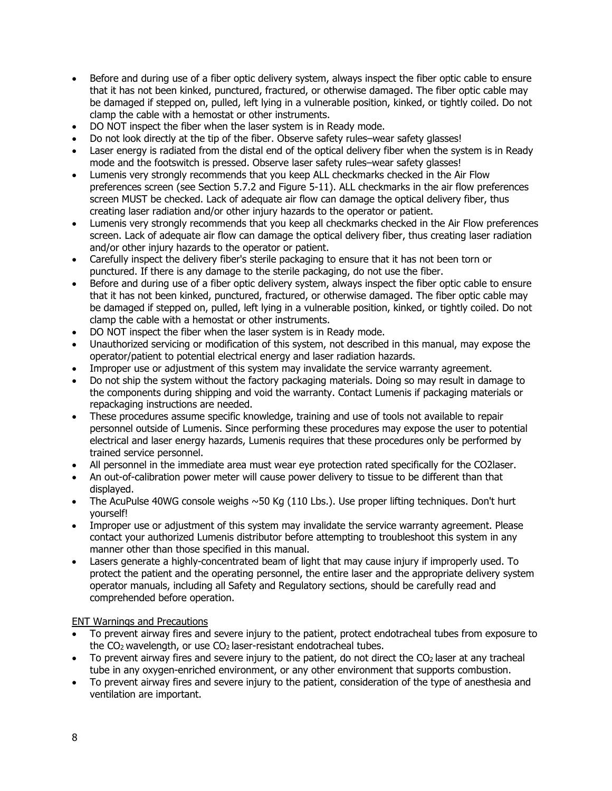- Before and during use of a fiber optic delivery system, always inspect the fiber optic cable to ensure that it has not been kinked, punctured, fractured, or otherwise damaged. The fiber optic cable may be damaged if stepped on, pulled, left lying in a vulnerable position, kinked, or tightly coiled. Do not clamp the cable with a hemostat or other instruments.
- DO NOT inspect the fiber when the laser system is in Ready mode.
- Do not look directly at the tip of the fiber. Observe safety rules–wear safety glasses!
- Laser energy is radiated from the distal end of the optical delivery fiber when the system is in Ready mode and the footswitch is pressed. Observe laser safety rules–wear safety glasses!
- Lumenis very strongly recommends that you keep ALL checkmarks checked in the Air Flow preferences screen (see Section 5.7.2 and Figure 5-11). ALL checkmarks in the air flow preferences screen MUST be checked. Lack of adequate air flow can damage the optical delivery fiber, thus creating laser radiation and/or other injury hazards to the operator or patient.
- Lumenis very strongly recommends that you keep all checkmarks checked in the Air Flow preferences screen. Lack of adequate air flow can damage the optical delivery fiber, thus creating laser radiation and/or other injury hazards to the operator or patient.
- Carefully inspect the delivery fiber's sterile packaging to ensure that it has not been torn or punctured. If there is any damage to the sterile packaging, do not use the fiber.
- Before and during use of a fiber optic delivery system, always inspect the fiber optic cable to ensure that it has not been kinked, punctured, fractured, or otherwise damaged. The fiber optic cable may be damaged if stepped on, pulled, left lying in a vulnerable position, kinked, or tightly coiled. Do not clamp the cable with a hemostat or other instruments.
- DO NOT inspect the fiber when the laser system is in Ready mode.
- Unauthorized servicing or modification of this system, not described in this manual, may expose the operator/patient to potential electrical energy and laser radiation hazards.
- Improper use or adjustment of this system may invalidate the service warranty agreement.
- Do not ship the system without the factory packaging materials. Doing so may result in damage to the components during shipping and void the warranty. Contact Lumenis if packaging materials or repackaging instructions are needed.
- These procedures assume specific knowledge, training and use of tools not available to repair personnel outside of Lumenis. Since performing these procedures may expose the user to potential electrical and laser energy hazards, Lumenis requires that these procedures only be performed by trained service personnel.
- All personnel in the immediate area must wear eye protection rated specifically for the CO2laser.
- An out-of-calibration power meter will cause power delivery to tissue to be different than that displayed.
- The AcuPulse 40WG console weighs  $\sim$  50 Kg (110 Lbs.). Use proper lifting techniques. Don't hurt yourself!
- Improper use or adjustment of this system may invalidate the service warranty agreement. Please contact your authorized Lumenis distributor before attempting to troubleshoot this system in any manner other than those specified in this manual.
- Lasers generate a highly-concentrated beam of light that may cause injury if improperly used. To protect the patient and the operating personnel, the entire laser and the appropriate delivery system operator manuals, including all Safety and Regulatory sections, should be carefully read and comprehended before operation.

#### ENT Warnings and Precautions

- To prevent airway fires and severe injury to the patient, protect endotracheal tubes from exposure to the  $CO<sub>2</sub>$  wavelength, or use  $CO<sub>2</sub>$  laser-resistant endotracheal tubes.
- To prevent airway fires and severe injury to the patient, do not direct the  $CO<sub>2</sub>$  laser at any tracheal tube in any oxygen-enriched environment, or any other environment that supports combustion.
- To prevent airway fires and severe injury to the patient, consideration of the type of anesthesia and ventilation are important.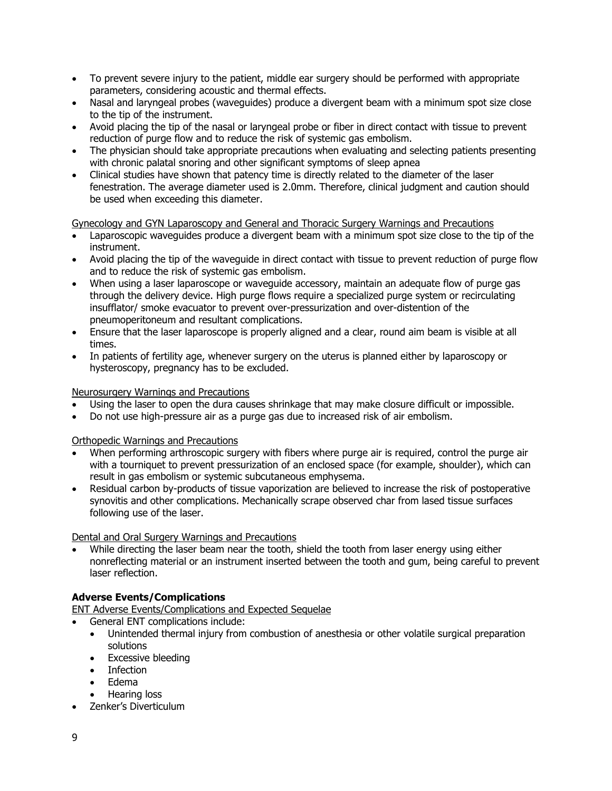- To prevent severe injury to the patient, middle ear surgery should be performed with appropriate parameters, considering acoustic and thermal effects.
- Nasal and laryngeal probes (waveguides) produce a divergent beam with a minimum spot size close to the tip of the instrument.
- Avoid placing the tip of the nasal or laryngeal probe or fiber in direct contact with tissue to prevent reduction of purge flow and to reduce the risk of systemic gas embolism.
- The physician should take appropriate precautions when evaluating and selecting patients presenting with chronic palatal snoring and other significant symptoms of sleep apnea
- Clinical studies have shown that patency time is directly related to the diameter of the laser fenestration. The average diameter used is 2.0mm. Therefore, clinical judgment and caution should be used when exceeding this diameter.

#### Gynecology and GYN Laparoscopy and General and Thoracic Surgery Warnings and Precautions

- Laparoscopic waveguides produce a divergent beam with a minimum spot size close to the tip of the instrument.
- Avoid placing the tip of the waveguide in direct contact with tissue to prevent reduction of purge flow and to reduce the risk of systemic gas embolism.
- When using a laser laparoscope or waveguide accessory, maintain an adequate flow of purge gas through the delivery device. High purge flows require a specialized purge system or recirculating insufflator/ smoke evacuator to prevent over-pressurization and over-distention of the pneumoperitoneum and resultant complications.
- Ensure that the laser laparoscope is properly aligned and a clear, round aim beam is visible at all times.
- In patients of fertility age, whenever surgery on the uterus is planned either by laparoscopy or hysteroscopy, pregnancy has to be excluded.

#### Neurosurgery Warnings and Precautions

- Using the laser to open the dura causes shrinkage that may make closure difficult or impossible.
- Do not use high-pressure air as a purge gas due to increased risk of air embolism.

#### Orthopedic Warnings and Precautions

- When performing arthroscopic surgery with fibers where purge air is required, control the purge air with a tourniquet to prevent pressurization of an enclosed space (for example, shoulder), which can result in gas embolism or systemic subcutaneous emphysema.
- Residual carbon by-products of tissue vaporization are believed to increase the risk of postoperative synovitis and other complications. Mechanically scrape observed char from lased tissue surfaces following use of the laser.

#### Dental and Oral Surgery Warnings and Precautions

• While directing the laser beam near the tooth, shield the tooth from laser energy using either nonreflecting material or an instrument inserted between the tooth and gum, being careful to prevent laser reflection.

## **Adverse Events/Complications**

ENT Adverse Events/Complications and Expected Sequelae

- General ENT complications include:
- Unintended thermal injury from combustion of anesthesia or other volatile surgical preparation solutions
- Excessive bleeding
- Infection
- Edema
- Hearing loss
- Zenker's Diverticulum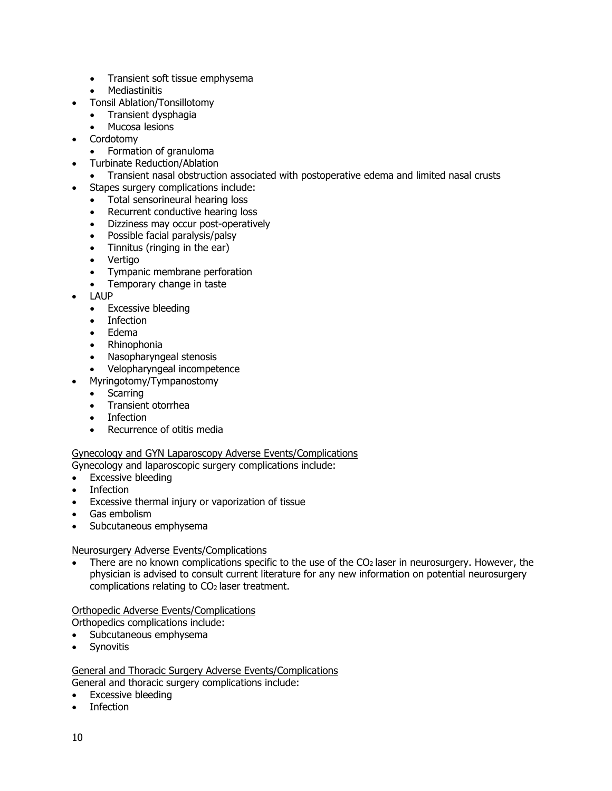- Transient soft tissue emphysema
- Mediastinitis
- Tonsil Ablation/Tonsillotomy
	- Transient dysphagia<br>• Mucosa lesions
	- Mucosa lesions
- Cordotomy
	- Formation of granuloma
- Turbinate Reduction/Ablation
	- Transient nasal obstruction associated with postoperative edema and limited nasal crusts
- Stapes surgery complications include:
	- Total sensorineural hearing loss
	- Recurrent conductive hearing loss
	- Dizziness may occur post-operatively
	- Possible facial paralysis/palsy
	- Tinnitus (ringing in the ear)
	- Vertigo
	- Tympanic membrane perforation
	- Temporary change in taste
- LAUP
	- Excessive bleeding
	- Infection
	- Edema
	- Rhinophonia
	- Nasopharyngeal stenosis
	- Velopharyngeal incompetence
- Myringotomy/Tympanostomy
	- **Scarring**
	- Transient otorrhea
	- **Infection**
	- Recurrence of otitis media

#### Gynecology and GYN Laparoscopy Adverse Events/Complications

Gynecology and laparoscopic surgery complications include:

- Excessive bleeding
- Infection
- Excessive thermal injury or vaporization of tissue
- Gas embolism
- Subcutaneous emphysema

#### Neurosurgery Adverse Events/Complications

• There are no known complications specific to the use of the  $CO<sub>2</sub>$  laser in neurosurgery. However, the physician is advised to consult current literature for any new information on potential neurosurgery complications relating to  $CO<sub>2</sub>$  laser treatment.

#### Orthopedic Adverse Events/Complications

Orthopedics complications include:

- Subcutaneous emphysema
- Synovitis

# General and Thoracic Surgery Adverse Events/Complications

General and thoracic surgery complications include:

- Excessive bleeding
- Infection